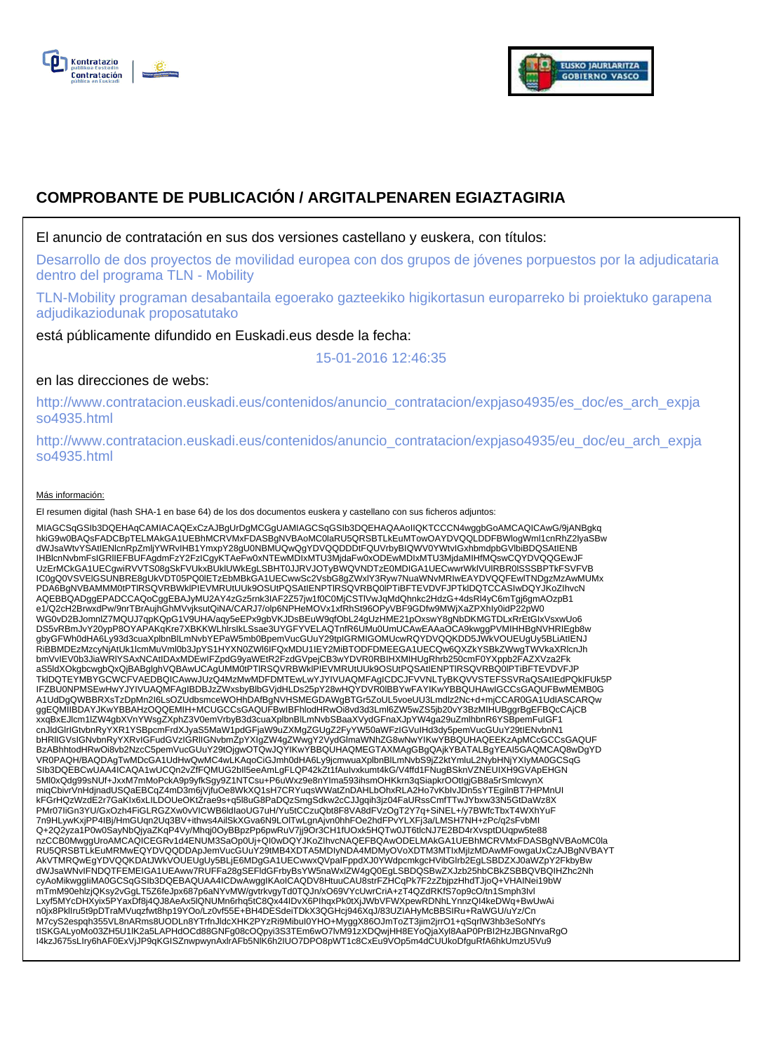



# **COMPROBANTE DE PUBLICACIÓN / ARGITALPENAREN EGIAZTAGIRIA**

El anuncio de contratación en sus dos versiones castellano y euskera, con títulos:

Desarrollo de dos proyectos de movilidad europea con dos grupos de jóvenes porpuestos por la adjudicataria dentro del programa TLN - Mobility

TLN-Mobility programan desabantaila egoerako gazteekiko higikortasun europarreko bi proiektuko garapena adjudikaziodunak proposatutako

está públicamente difundido en Euskadi.eus desde la fecha:

15-01-2016 12:46:35

# en las direcciones de webs:

http://www.contratacion.euskadi.eus/contenidos/anuncio\_contratacion/expjaso4935/es\_doc/es\_arch\_expja so4935.html

http://www.contratacion.euskadi.eus/contenidos/anuncio\_contratacion/expjaso4935/eu\_doc/eu\_arch\_expja so4935.html

## Más información:

El resumen digital (hash SHA-1 en base 64) de los dos documentos euskera y castellano con sus ficheros adjuntos:

MIAGCSqGSIb3DQEHAqCAMIACAQExCzAJBgUrDgMCGgUAMIAGCSqGSIb3DQEHAQAAoIIQKTCCCN4wggbGoAMCAQICAwG/9jANBgkq hkiG9w0BAQsFADCBpTELMAkGA1UEBhMCRVMxFDASBgNVBAoMC0laRU5QRSBTLkEuMTowOAYDVQQLDDFBWlogWml1cnRhZ2lyaSBw dWJsaWtvYSAtIENicnRpZmijYWRvIHB1YmxpY28gU0NBMUQwQgYDVQQDDDtFQUVrbyBIQWV0YWtvIGxhbmdpbGVlbiBDQSAtIENB<br>IHBlcnNvbmFsIGRIIEFBUFAgdmFzY2FzICgyKTAeFw0xNTEwMDIxMTU3MjdaFw0xODEwMDIxMTU3MjdaMIHfMQswCQYDVQQGEwJF UzErMCkGA1UECgwiRVVTS08gSkFVUkxBUklUWkEgLSBHT0JJRVJOTyBWQVNDTzE0MDIGA1UECwwrWklVUlRBR0lSSSBPTkFSVFVB IC0gQ0VSVElGSUNBRE8gUkVDT05PQ0lETzEbMBkGA1UECwwSc2VsbG8gZWxlY3Ryw7NuaWNvMRIwEAYDVQQFEwlTNDgzMzAwMUMx PDA6BgNVBAMMM0tPTlRSQVRBWklPIEVMRUtUUk9OSUtPQSAtIENPTlRSQVRBQ0lPTiBFTEVDVFJPTklDQTCCASIwDQYJKoZIhvcN AQEBBQADggEPADCCAQoCggEBAJyMU2AY4zGz5rnk3IAF2Z57jw1f0C0MjCSTlVwJqMdQhnkc2HdzG+4dsRl4yC6mTgj6gmAOzpB1 e1/Q2cH2BrwxdPw/9nrTBrAujhGhMVvjksutQiNA/CARJ7/olp6NPHeMOVx1xfRhSt96OPyVBF9GDfw9MWjXaZPXhIy0idP22pW0<br>WG0vD2BJomnlZ7MQUJ7qpKQpG1V9UHA/aqy5eEPx9gbVKJDsBEuW9qfObL24gUzHME21pOxswY8gNbDKMGTDLxRrEtGIxVsxwUo6 DS5vRBmJvY20ypP8OYAPAKqKre7XBKKWLhlrsIkLSsae3UYGFYVELAQTnfR6UMu0UmUCAwEAAaOCA9kwggPVMIHHBgNVHRIEgb8w gbyGFWh0dHA6Ly93d3cuaXplbnBlLmNvbYEPaW5mb0BpemVucGUuY29tpIGRMIGOMUcwRQYDVQQKDD5JWkVOUEUgUy5BLiAtIENJ<br>RiBBMDEzMzcyNjAtUk1lcmMuVml0b3JpYS1HYXN0ZWI6IFQxMDU1IEY2MiBTODFDMEEGA1UECQw6QXZkYSBkZWwgTWVkaXRlcnJh bmVvIEV0b3JiaWRlYSAxNCAtIDAxMDEwIFZpdG9yaWEtR2FzdGVpejCB3wYDVR0RBIHXMIHUgRhrb250cmF0YXppb2FAZXVza2Fk aS5ldXOkgbcwgbQxQjBABglghVQBAwUCAgUMM0tPTlRSQVRBWklPIEVMRUtUUk9OSUtPQSAtIENPTlRSQVRBQ0lPTiBFTEVDVFJP TklDQTEYMBYGCWCFVAEDBQICAwwJUzQ4MzMwMDFDMTEwLwYJYIVUAQMFAgICDCJFVVNLTyBKQVVSTEFSSVRaQSAtIEdPQklFUk5P IFZBU0NPMSEwHwYJYIVUAQMFAgIBDBJzZWxsbyBlbGVjdHLDs25pY28wHQYDVR0lBBYwFAYIKwYBBQUHAwIGCCsGAQUFBwMEMB0G<br>A1UdDgQWBBRXsTzDpMn2I6LsOZUdbsmceWOHhDAfBgNVHSMEGDAWgBTGr5ZoUL5voeUU3Lmdlz2Nc+d+mjCCAR0GA1UdIASCARQw ggEQMIIBDAYJKwYBBAHzOQQEMIH+MCUGCCsGAQUFBwIBFhlodHRwOi8vd3d3Lml6ZW5wZS5jb20vY3BzMIHUBggrBgEFBQcCAjCB xxqBxEJlcm1lZW4gbXVnYWsgZXphZ3V0emVrbyB3d3cuaXplbnBlLmNvbSBaaXVydGFnaXJpYW4ga29uZmlhbnR6YSBpemFuIGF1 cnJldGlrIGtvbnRyYXR1YSBpcmFrdXJyaS5MaW1pdGFjaW9uZXMgZGUgZ2FyYW50aWFzIGVuIHd3dy5pemVucGUuY29tIENvbnN1<br>bHRIIGVsIGNvbnRyYXRvIGFudGVzIGRIIGNvbmZpYXIgZW4gZWwgY2VydGlmaWNhZG8wNwYIKwYBBQUHAQEEKzApMCcGCCsGAQUF BzABhhtodHRwOi8vb2NzcC5pemVucGUuY29tOjgwOTQwJQYIKwYBBQUHAQMEGTAXMAgGBgQAjkYBATALBgYEAI5GAQMCAQ8wDgYD VR0PAQH/BAQDAgTwMDcGA1UdHwQwMC4wLKAqoCiGJmh0dHA6Ly9jcmwuaXplbnBlLmNvbS9jZ2ktYmluL2NybHNjYXIyMA0GCSqG SIb3DQEBCwUAA4ICAQA1wUCQn2vZfFQMUG2bIl5eeAmLgFLQP42kZt1fAuIvxkumt4kG/V4ffd1FNugBSknVZNEUIXH9GVApEHGN 5Ml0xQdg99sNUf+JxxM7mMoPckA9p9yfkSgy9Z1NTCsu+P6uWxz9e8nYIma593ihsmOHKkrn3qSiapkrOOtIgjGB8a5rSmlcwynX miqCbivrVnHdjnadUSQaEBCqZ4mD3m6jVjfuOe8WkXQ1sH7CRYuqsWWatZnDAHLbOhxRLA2Ho7vKbIvJDn5sYTEgilnBT7HPMnUI kFGrHQzWzdE2r7GaKIx6xLILDOUeOKtZrae9s+q5l8uG8PaDQzSmgSdkw2cCJJgqih3jz04FaURssCmfTTwJYbxw33N5GtDaWz8X PMr07IiGn3YU/GxOzh4FiGLRGZXw0vVICWB6ldIaoUG7uH/Yu5tCCzuQbt8F8VA8dFVzOgT2Y7q+SiNEL+/y7BWfcTbxT4WXhYuF 7n9HLywKxjPP4IBj/HmGUqn2Uq3BV+ithws4AilSkXGva6N9LOlTwLgnAjvn0hhFOe2hdFPvYLXFj3a/LMSH7NH+zPc/q2sFvbMI Q+2Q2yza1P0w0SayNbQjyaZKqP4Vy/Mhqj0OyBBpzPp6pwRuV7jj9Or3CH1fUOxk5HQTw0JT6tlcNJ7E2BD4rXvsptDUqpw5te88<br>nzCCB0MwggUroAMCAQICEGRv1d4ENUM3SaOp0Uj+QI0wDQYJKoZlhvcNAQEFBQAwODELMAkGA1UEBhMCRVMxFDASBgNVBAoMC0la RU5QRSBTLkEuMRMwEQYDVQQDDApJemVucGUuY29tMB4XDTA5MDIyNDA4MDMyOVoXDTM3MTIxMjIzMDAwMFowgaUxCzAJBgNVBAYT AkVTMRQwEgYDVQQKDAtJWkVOUEUgUy5BLjE6MDgGA1UECwwxQVpaIFppdXJ0YWdpcmkgcHVibGlrb2EgLSBDZXJ0aWZpY2FkbyBw dWJsaWNvIFNDQTFEMEIGA1UEAww7RUFFa28gSEFidGFrbyBsYW5naWxlZW4gQ0EgLSBDQSBwZXJzb25hbCBkZSBBQVBQIHZhc2Nh<br>cyAoMikwggliMA0GCSqGSlb3DQEBAQUAA4ICDwAwggIKAoICAQDV8HtuuCAU8strFZHCqPk7F2zZbjpzHhdTJjoQ+VHAINei19bW mTmM90ehlzjQKsy2vGgLT5Z6feJpx687p6aNYvMW/gvtrkvgyTd0TQJn/xO69VYcUwrCriA+zT4QZdRKfS7op9cO/tn1Smph3Ivl Lxyf5MYcDHXyix5PYaxDf8j4QJ8AeAx5lQNUMn6rhq5tC8Qx44IDvX6PIhqxPk0tXjJWbVFWXpewRDNhLYnnzQI4keDWq+BwUwAi n0jx8PklIru5t9pDTraMVuqzfwt8hp19YOo/Lz0vf55E+BH4DESdeiTDkX3QGHcj946XqJ/83UZIAHyMcBBSIRu+RaWGU/uYz/Cn M7cyS2espqh355VL8nARms8UODLn8YTrfnJldcXHK2PYzRi9MibuI0YHO+MyggX86OJmToZT3jim2jrrO1+qSqrlW3hb3eSoNfYs tISKGALyoMo03ZH5U1IK2a5LAPHdOCd88GNFg08cOQpyi3S3TEm6wO7lvM91zXDQwjHH8EYoQjaXyl8AaP0PrBI2HzJBGNnvaRgO<br>I4kzJ675sLIry6hAF0ExVjJP9qKGISZnwpwynAxIrAFb5NIK6h2IUO7DPO8pWT1c8CxEu9VOp5m4dCUUkoDfguRfA6hkUmzU5Vu9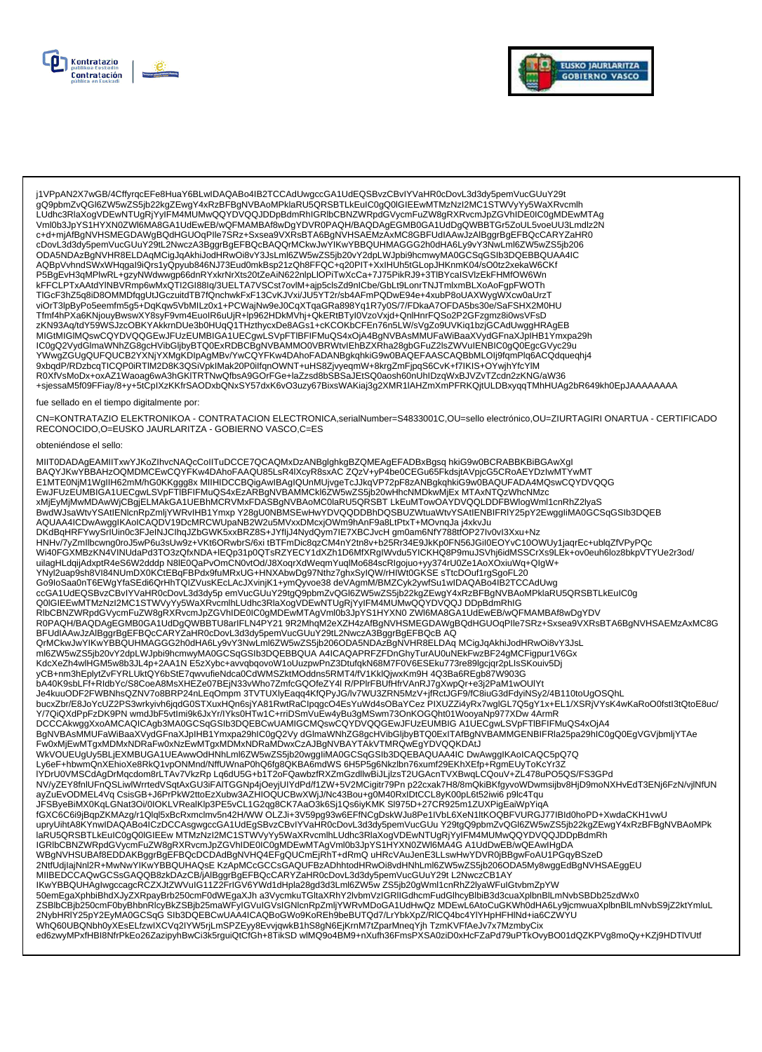



j1VPpAN2X7wGB/4CffyrqcEFe8HuaY6BLwIDAQABo4IB2TCCAdUwgccGA1UdEQSBvzCBvIYVaHR0cDovL3d3dy5pemVucGUuY29t<br>gQ9pbmZvQGI6ZW5wZS5jb22kgZEwgY4xRzBFBgNVBAoMPklaRU5QRSBTLkEuIC0gQ0IGIEEwMTMzNzI2MC1STWVyYy5WaXRvcmlh LUdhc3RlaXogVDEwNTUgRjYyIFM4MUMwQQYDVQQJDDpBdmRhIGRlbCBNZWRpdGVycmFuZW8gRXRvcmJpZGVhIDE0IC0gMDEwMTAg Vml0b3JpYS1HYXN0ZWI6MA8GA1UdEwEB/wQFMAMBAf8wDgYDVR0PAQH/BAQDAgEGMB0GA1UdDgQWBBTGr5ZoUL5voeUU3Lmdlz2N c+d+mjAfBgNVHSMEGDAWgBQdHGUOqPlle7SRz+Sxsea9VXRsBTA6BgNVHSAEMzAxMC8GBFUdIAAwJzAlBggrBgEFBQcCARYZaHR0 cDovL3d3dy5pemVucGUuY29tL2NwczA3BggrBgEFBQcBAQQrMCkwJwYIKwYBBQUHMAGGG2h0dHA6Ly9vY3NwLml6ZW5wZS5jb206 ODA5NDAzBgNVHR8ELDAqMCigJqAkhiJodHRwOi8vY3JsLml6ZW5wZS5jb20vY2dpLWJpbi9hcmwyMA0GCSqGSIb3DQEBBQUAA4IC<br>AQBpVvhndSWxWHqgal9iQrs1yQpyub846NJ73Eud0mkBsp21zQh8FFQC+q20PIT+XxlHUh5tGLopJHKnmK04/sO0tz2xekaW6CKf TIGcF3hZ5q8iD8OMMDfqgUtJGczuitdTB7fQnchwkFxF13CvKJVxi/JU5YT2r/sb4AFmPQDwE94e+4xubP8oUAXWygWXcw0aUrzT viOrT3lpByPo5eemfm5g5+DqKqw5VbMILz0x1+PCWajNw9eJ0CqXTqaGRa898Yq1R7y0S/7/FDkaA7OFDA5bs30e/SaFSHX2M0HU Tfmf4hPXa6KNjouyBwswXY8syF9vm4EuoIR6uUjR+lp962HDkMVhj+QkERtBTyI0VzoVxjd+QnlHnrFQSo2P2GFzgmz8i0wsVFsD zKN93Aq/tdY59WSJzcOBKYAKkrnDUe3b0HUqQ1THzthycxDe8AGs1+cKCOKbCFEn76n5LW/sVgZo9UVKiq1bzjGCAdUwggHRAgEB R0XfVsMoDx+oxAZ1Waoag6wA3hGKITRTNwQfbsA9GOrFGe+laZzsd8bSBSaJEtSQ0aosh60nUhlDzqWxBJVZvTZcdn2zKNG/aW36 +sjessaM5f09FFiay/8+y+5tCplXzKKfrSAODxbQNxSY57dxK6vO3uzy67BixsWAKiaj3g2XMR1IAHZmXmPFRKQitULDBxyqqTMhHUAg2bR649kh0EpJAAAAAAA

#### fue sellado en el tiempo digitalmente por:

CN=KONTRATAZIO ELEKTRONIKOA - CONTRATACION ELECTRONICA,serialNumber=S4833001C,OU=sello electrónico,OU=ZIURTAGIRI ONARTUA - CERTIFICADO RECONOCIDO, O=EUSKO JAURLARITZA - GOBIERNO VASCO, C=ES

#### obteniéndose el sello:

MIIT0DADAgEAMIITxwYJKoZlhvcNAQcCoIITuDCCE7QCAQMxDzANBglghkgBZQMEAgEFADBxBgsq hkiG9w0BCRABBKBiBGAwXgl BAQYJKwYBBAHzOQMDMCEwCQYFKw4DAhoFAAQU85LsR4IXcyR8sxAC ZQzV+yP4be0CEGu65FkdsjtAVpjcG5CRoAEYDzIwMTYwMT ENTEONJM1WgIIH62mM/hG0KKggg8x MIIHIDCCBQigAwIBAgIQUnMUjvgeTcJJkqVP72pF8zANBgkqhkiG9w0BAQUFADA4MQswCQYDVQQG<br>EwJFUzEUMBIGA1UECgwLSVpFTIBFIFMuQS4xEzARBgNVBAMMCkl6ZW5wZS5jb20wHhcNMDkwMjEx MTAxNTQzWhcNMzc xMjEyMjMwMDAwWjCBgjELMAkGA1UEBhMCRVMxFDASBgNVBAoMC0laRU5QRSBT LkEuMTowOAYDVQQLDDFBWlogWml1cnRhZ2lyaS BwdWJsaWtvYSAtlENicnRpZmljYWRvIHB1YmxpY28gU0NBMSEwHwYDVQQDDBhDQSBUZWtuaWtvYSAtlENBIFRIY25pY2EwggliMA0GCSqGSIb3DQEB AQUAA4ICDwAwggIKAoICAQDV19DcMRCWUpaNB2W2u5MVxxDMcxjOWm9hAnF9a8LtPtxT+MOvnqJa j4xkvJu DKdBqHRFYwySrIUin0c3FJeINJClhqJZbGWK5xxBRZ8S+JYfljJ4NydQym7IE7XBCJvcHgm0am6NfY788tfOP27lv0vl3Xxu+Nz HNHv/7yZmllbcwng0roJ5wP6u3sUw9z+VKt6ORwbrS/6xi tBTFmDic8qzCM4nY2tn8v+b25Rr34E9JkKp0FN56JGil0EOYvC10OWUy1jaqrEc+ublqZfVPyPQc<br>Wi40FGXMBzKN4VINUdaPd3TO3zQfxNDA+IEQp31p0QTsRZYECY1dXZh1D6MfXRgIWvdu5YICKHQ8P9muJSVhj6idMSSCrXs9LE COUGLEG WITMZNZI2MC1STWVyYy5WaXRvcmlhLUdhc3RlaXogVDEwNTUgRjYyIFM4MUMwQQYDVQQJDDpBdmRhIG<br>RIbCBNZWRpdGVycmFuZW8gRXRvcmJpZGVhIDE0IC0gMDEwMTAgVml0b3JpYS1HYXN0ZWM6MA8GA1UdEwEB/wQFMAMBAf8wDgYDV R0PAQH/BAQDAgEGMB0GA1UdDgQWBBTU8arIFLN4PY219R2MhqM2eXZH4zAfBgNVHSMEGDAWgBQdHGUOqPIIe7SRz+Sxsea9VXRsBTA6BgNVHSAEMzAxMC8G BFUdIAAwJzAlBggrBgEFBQcCARYZaHR0cDovL3d3dy5pemVucGUuY29tL2NwczA3BggrBgEFBQcBAQ ے WINDER AND ARREST AND A SUPPORT AND A SUPPORT OF THE SERVICE OF THE SERVICE OF THE SERVICE OF THE SERVICE OF<br>WINDER SERVICE OF THE SERVICE OF THE SERVICE OF THE SERVICE OF THE SERVICE OF THE SERVICE OF THE SERVICE OF T KdcXeZh4wlHGM5w8b3JL4p+2AA1N E5zXybc+avvqbqovoW1oUuzpwPnZ3DtufqkN68M7F0V6ESEku773re89lgcjqr2pLIsSKouiv5Dj yCB+nm3hEplytZvFYRLUktQY6bStE7qwvufieNdca0CdWMSZktMOddns5RMT4/fV1KklQjwxKm9H 4Q3Ba6REqb87W903G bA40K9sbLFf+RldbYc/S8CoeA8MsXHEZe07BEjN33vWho7ZmfcGQOfeZY4lR/PPIrFBUfHfrVAnRJ7gXwpQr+e3j2PaM1wOUIYt Je4kuuODF2FWBNhsQZNV7o8BRP24nLEqOmpm 3TVTUXlyEaqq4KfQPyJG/lv7WU3ZRN5MzV+jfRctJGF9/fC8iuG3dFdyiNSy2/4B110toUgOSQhL bucxZbr/E8JoYcUZ2PS3wrkyivh6jqdG0STXuxHQn6sjYA81RwtRaClpqgcO4EsYuWd4sOBaYCez PIXUZZi4yRx7wglGL7Q5gY1x+EL1/XSRjVYsK4wKaRoO0fstl3tQtoE8uc/ Y/7QiQXdPpFzDK9PN wmdJbF5vtImi9k6JxYr/lYks0HTw1C+rriDSmVuEw4yBu3gMSwm73OnKOGQht01WooyaNp977XDw 4ArmR \*//Qidyad-pr-2Display=ourlinexbox\*///Trison-in/U+rilDSim/View4y9bu3ginlsom/i/3Oin/DGCAkwggXxoAMCAQiCAggSMA0GCSqGSIb3DQEBCwUAMIGCMQswCQYDVQQGEwJFUzEUMBIG A1UECgwL7xDw 4AfiniR<br>DGCCAkwggXxoAMCAQICAgb3MA0GCSqGSIb3DQEBCwUAMIGC Ly6eF+hbwmQnXEhioXe8RkQ1vpONMnd/NffUWnaP0hQ6fg8QKBA6mdWS6H5P5g6Nkzlbn76xumf29EKhXEfp+RgmEUyToKcYr3Z IYDrU0VMSCdAgDrMqcdom8rLTAv7VkzRpLq6dU5G+b1T2oFQawbzfRXZmGzdllwBiJLjIzsT2UGAcnTVXBwqLCQouV+ZL478uPO5QS/FS3GPd NV/yZEY8fnlUFnQSLiwlWrrtedVSqtAxGU3iFAlTGGNp4jOeyjUIYdPd/f1ZW+5V2MCigitr79Pn p22cxak7H8/8mQkiBKfgyvoWDwmsijbv8HjD9moNXHvEdT3ENj6FzN/vjlNfUN ayZuEvODMEL4Vq CsisGB+J6PrPkW2ttoEzXubw3AZHIOQUCBwXWjJ/Nc43Bou+g0M40RxIDtCCL8yK00pL6t52iwi6 p9lc4Tqu or που που το προσπαθεί του το προσπαθεί του του του του του προσπαθεί της προσπαθείς του προσπαθεί του του πρ<br>- Το προσπαθεί του προσπαθεί του προσπαθεί του προσπαθεί του προσπαθεί του προσπαθεί του κριστικού της Α΄ του IGRIbCBNZWRpdGVycmFuZW8gRXRvcmJpZGVhIDE0IC0gMDEwMTAgVml0b3JpYS1HYXN0ZWl6MA4G A1UdDwEB/wQEAwIHgDA WBgNVHSUBAf8EDDAKBggrBgEFBQcDCDAdBgNVHQ4EFgQUCmEjRhT+dRmQ uHRcVAuJenE3LLswHwYDVR0jBBgwFoAU1PGqyBSzeD 2NtfUdjlajNnl2R+MwNwYIKwYBBQUHAQsE KzApMCcGCCsGAQUFBzADhhtodHRwOi8vdHNhLml6ZW5wZS5jb206ODA5My8wggEdBgNVHSAEggEU MIIBEDCCAQwGCSsGAQQB8zkDAzCB/jAlBggrBgEFBQcCARYZaHR0cDovL3d3dy5pemVucGUuY29t L2NwczCB1AY<br>IKwYBBQUHAgIwgccagcRCZXJtZWVulG11Z2FrIGV6YWd1dHpla28gd3d3Lml6ZW5w ZS5jb20gWml1cnRhZ2lyaWFulGtvbmZpYW<br>50emEgaXphbiBhdXJyZXRpayBrb250cm SCHILL AND MANUSIAN AND TRANSPORT ON THE MANUSIAL CONTROL IN THE MANUSIAL CONTROL OF A CONTROL CONTROL OF THE<br>2ND CONTROL AND TRANSPORTED TO A MANUSIAL CONTROL IN THE MANUSIAL CONTROL OF A CONTROL OF A MANUSIAL CONTROL O<br>2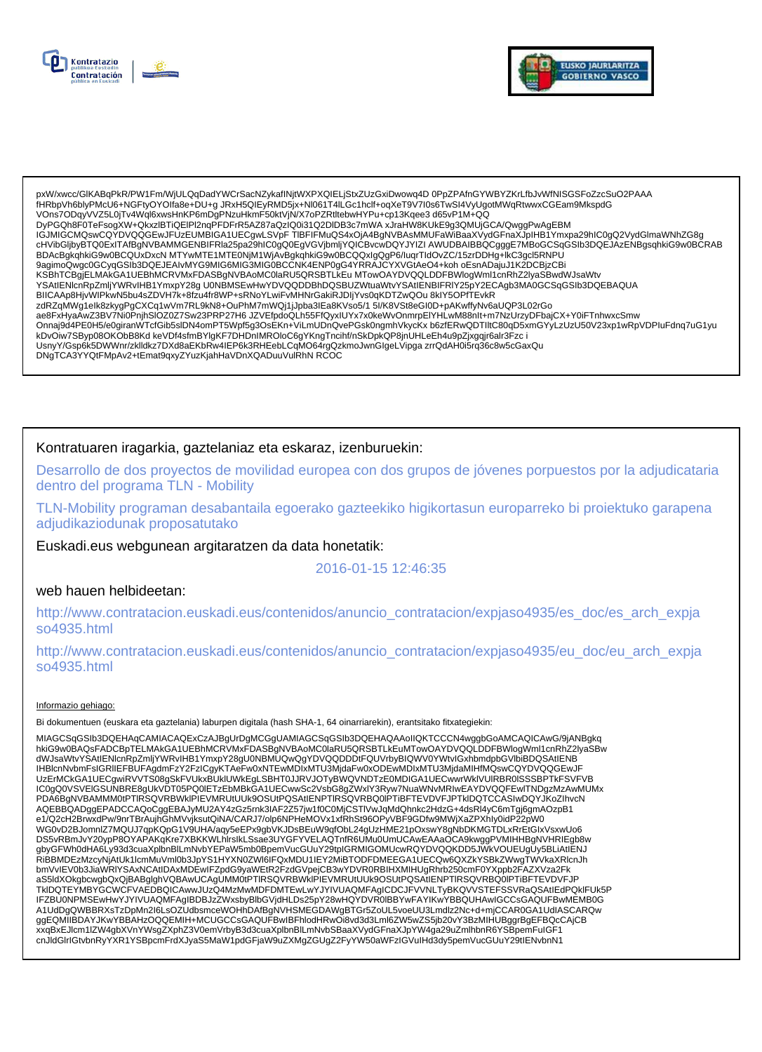



pxW/xwcc/GlKABqPkR/PW1Fm/WjULQqDadYWCrSacNZykafINjtWXPXQIELjStxZUzGxiDwowq4D 0PpZPAfnGYWBYZKrLfbJvWfNISGSFoZzcSuO2PAAA .<br>fHRbpVh6blyPMcU6+NGFtyOYOIfa8e+DU+q JRxH5QIEyRMD5ix+Nl061T4ILGc1hclf+oqXeT9V7I0s6TwSI4VyUqotMWqRtwwxCGEam9MkspdG VOns7ODgyVVZ5L0jTv4Wql6xwsHnKP6mDgPNzuHkmF50ktVjN/X7oPZRtltebwHYPu+cp13Kqee3 d65vP1M+QQ DyPGQh8F0TeFsogXW+QkxzlBTiQEIPl2nqPFDFrR5AZ87aQzIQ0i31Q2DIDB3c7mWAxJraHW8KUkE9g3QMUjGCA/QwggPwAgEBM USUMGCMQswCQYDVQQGEwJFUzEUMBIGA1UECgwLSVpFTIBFIFMuQS4xOjA4BgNVBAsMMUFaWiBaaXVydGFnaXJpIHB1Ymxpa29hIC0gQ2VydGlmaWNhZG8g<br>cHVibGljbyBTQ0ExITAfBgNVBAMMGENBIFRla25pa29hIC0gQ0EgVGVjbmljYQICBvcwDQYJYIZI AWUDBAIBBQCgggE7MBoGCSqGSl BDAcBgkqhkiG9w0BCQUxDxcN MTYwMTE1MTE0NjM1WjAvBgkqhkiG9w0BCQQxlgQgP6/luqrTldOvZC/15zrDDHg+lkC3gcl5RNPU<br>9agimoQwgc0GCyqGSlb3DQEJEAIvMYG9MIG6MIG3MIG0BCCNK4ENP0gG4YRRAJCYXVGtAeO4+koh oEsnADajuJ1K2DCBjzCBi α α απτικα αναγνωστικού κατα της πιστοπιστηκες της αναγκηστικες τους τους τους τους τους τους που αποτελείς που<br>- ΚSBhTCBgjELMAkGA1UEBhMCRVMxFDASBgNVBAoMC0laRU5QRSBTLkEu MTowOAYDVQQLDDFBWlogWml1cnRhZ2lyaSBwdWJsaWtv<br>- YSA BIICAAp8HjvWIPkwN5bu4sZDVH7k+8fzu4fr8WP+sRNoYLwiFvMHNrGakiRJDIjYvs0qKDTZwQOu 8kIY5OPfTEvkR zdRZqMWg1elk8zkygPgCXCq1wVm7RL9kN8+OuPhM7mWQj1jJpba3lEa8KVso5/15l/K8VSt8eGI0D+pAKwffyNv6aUQP3L02rGo ae8FxHyaAwZ3BV7Ni0PnjhSlOZ0Z7Sw23PRP27H6JZVEfpdoQLh55FfQyxIUYx7x0keWvOnmrpElYHLwM88nlt+m7NzUrzyDFbajCX+Y0iFTnhwxcSmw Onnaj9d4PE0H5/e0giranWTcfGib5slDN4omPT5Wpf5g3OsEKn+ViLmUDnQvePGsk0ngmhVkycKx b6zfERwQDTlltC80qD5xmGYyLzUzU50V23xp1wRpVDPluFdnq7uG1yu kDvOiw7SByp08OKObB8Kd keVDf4sfmBYlgKF7DHDnIMROloC6gYKngTncihf/nSkDpkQP8jnUHLeEh4u9pZjxgqjr6alr3Fzc i UsnyY/Gsp6k5DWWnr/zklldkz7DXd8aEKbRw4IEP6k3RHEebLCqMO64rgQzkmoJwnGlgeLVipga zrrQdAH0i5rq36c8w5cGaxQu DNgTCA3YYQtFMpAv2+tEmat9qxyZYuzKjahHaVDnXQADuuVulRhN RCOC

# Kontratuaren iragarkia, gaztelaniaz eta eskaraz, izenburuekin:

Desarrollo de dos proyectos de movilidad europea con dos grupos de jóvenes porpuestos por la adjudicataria dentro del programa TLN - Mobility

TLN-Mobility programan desabantaila egoerako gazteekiko higikortasun europarreko bi proiektuko garapena adjudikaziodunak proposatutako

Euskadi.eus webgunean argitaratzen da data honetatik:

2016-01-15 12:46:35

web hauen helbideetan:

http://www.contratacion.euskadi.eus/contenidos/anuncio\_contratacion/expjaso4935/es\_doc/es\_arch\_expja so4935.html

http://www.contratacion.euskadi.eus/contenidos/anuncio\_contratacion/expjaso4935/eu\_doc/eu\_arch\_expja so4935.html

### Informazio gehiago:

Bi dokumentuen (euskara eta gaztelania) laburpen digitala (hash SHA-1, 64 oinarriarekin), erantsitako fitxategiekin:

MIAGCSqGSIb3DQEHAqCAMIACAQExCzAJBgUrDgMCGgUAMIAGCSqGSIb3DQEHAQAAoIIQKTCCCN4wggbGoAMCAQICAwG/9jANBgkq<br>hkiG9w0BAQsFADCBpTELMAkGA1UEBhMCRVMxFDASBgNVBAoMC0laRU5QRSBTLkEuMTowOAYDVQQLDDFBWIogWml1cnRhZ2IyaSBw<br>dWJsaWtvYSAtIENIcnRp UzErMCkGA1UECgwiRVVTS08gSkFVUkxBUkIUWkEgLSBHT0JJRVJOTyBWQVNDTzE0MDIGA1UECwwrWkIVUIRBR0ISSSBPTkFSVFVB IC0gQ0VSVEIGSUNBRE8gUkVDT05PQ0IETzEbMBkGA1UECwwSc2VsbG8gZWxIY3Ryw7NuaWNvMRIwEAYDVQQFEwITNDgzMzAwMUMx PDA6BgNVBAMMM0tPTIRSQVRBWkIPIEVMRUtUUk9OSUtPQSAtIENPTIRSQVRBQ0IPTiBFTEVDVFJPTkIDQTCCASIwDQYJKoZIhvcN AQEBBQADggEPADCCAQoCggEBAJyMU2AY4zGz5rnk3IAF2Z57jw1f0C0MjCSTIVwJqMdQhnkc2HdzG+4dsRl4yC6mTgj6gmAOzpB1 e1/Q2cH2BrwxdPw/9nrTBrAujnGhMVvjksutQiNA/CARJ7/olp6NPHeMOVx1xfRhSt96OPyVBF9GDfw9MWjXaZPXhly0idP22pW0<br>WG0vD2BJomnlZ7MQUJ7qpKQpG1V9UHA/aqy5eEPx9gbVKJDsBEuW9qfObL24gUzHME21pOxswY8gNbDKMGTDLxRrEtGlxVsxwUo6 DS5vRBmJvY20ypP8OYAPAKqKre7XBKKWLhIrslkLSsae3UYGFYVELAQTnfR6UMu0UmUCAwEAAaOCA9kwggPVMIHHBgNVHRIEgb8w bmVvIEV0b3JiaWRIYSAxNCAtIDAxMDEwIFZpdG9yaWEtR2FzdGVpejCB3wYDVR0RBIHXMIHUgRhrb250cmF0YXppb2FAZXVza2Fk aS5ldXOkgbcwgbQxQjBABglghVQBAwUCAgUMM0tPTIRSQVRBWkIPIEVMRUtUUk9OSUtPQSAtIENPTIRSQVRBQ0IPTiBFTEVDVFJP TkIDQTEYMBYGCWCFVAEDBQICAwwJUzQ4MzMwMDFDMTEwLwYJYIVUAQMFAgICDCJFVVNLTyBKQVVSTEFSSVRaQSAtIEdPQkIFUk5P IFZBU0NPMSEwHwYJYIVUAQMFAgIBDBJzZWxsbyBlbGVjdHLDs25pY28wHQYDVR0lBBYwFAYIKwYBBQUHAwIGCCsGAQUFBwMEMB0G<br>A1UdDgQWBBRXsTzDpMn2l6LsOZUdbsmceWOHhDAfBgNVHSMEGDAWgBTGr5ZoUL5voeUU3Lmdlz2Nc+d+mjCCAR0GA1UdIASCARQw ggEQMIIBDAYJKwYBBAHzOQQEMIH+MCUGCCsGAQUFBwIBFhlodHRwOi8vd3d3Lml6ZW5wZS5jb20vY3BzMIHUBggrBgEFBQcCAjCB xxqBxEJlcm1lZW4qbXVnYWsqZXphZ3V0emVrbyB3d3cuaXplbnBlLmNvbSBaaXVydGFnaXJpYW4qa29uZmlhbnR6YSBpemFuIGF1 cnJldGlrlGtvbnRyYXR1YSBpcmFrdXJyaS5MaW1pdGFjaW9uZXMgZGUgZ2FyYW50aWFzIGVulHd3dy5pemVucGUuY29tlENvbnN1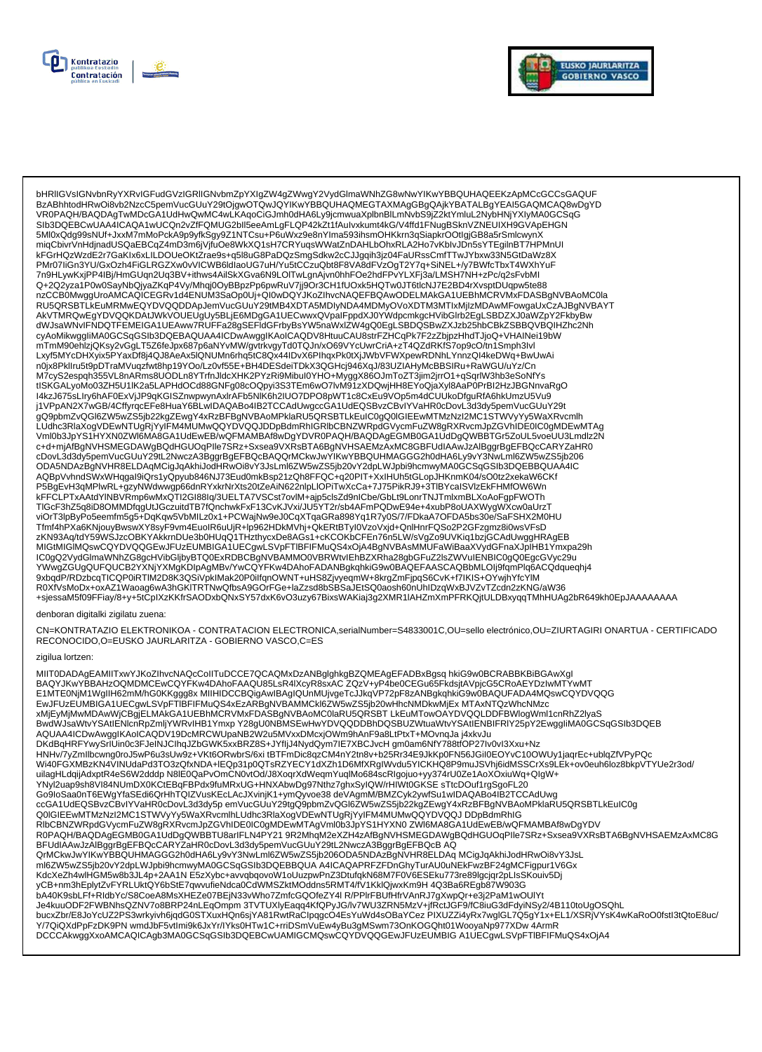



bHRIIGVsIGNvbnRyYXRvIGFudGVzIGRIIGNvbmZpYXIgZW4gZWwgY2VydGlmaWNhZG8wNwYIKwYBBQUHAQEEKzApMCcGCCsGAQUF<br>BzABhhtodHRwOi8vb2NzcC5pemVucGUuY29tOjgwOTQwJQYIKwYBBQUHAQMEGTAXMAgGBgQAjkYBATALBgYEAI5GAQMCAQ8wDgYD 5Ml0xQdg99sNUf+JxxM7mMoPckA9p9yfkSgy9Z1NTCsu+P6uWxz9e8nYIma593ihsmOHKkrn3qSiapkrOOtlgjGB8a5rSmlcwynX miqCbivrVnHdjnadUSQaEBCqZ4mD3m6jVjfuOe8WkXQ1sH7CRYuqsWWatZnDAHLbOhxRLA2Ho7vKblvJDn5sYTEgilnBT7HPMnUI kFGrHQzWzdE2r7GaKIx6xLILDOUeOKtZrae9s+q5l8uG8PaDQzSmgSdkw2cCJJgqih3jz04FaURssCmfTTwJYbxw33N5GtDaWz8X<br>PMr07liGn3YU/GxOzh4FiGLRGZXw0vVICWB6ldlaoUG7uH/Yu5tCCzuQbt8F8VA8dFVzOgT2Y7q+SiNEL+/y7BWfcTbxT4WXhYuF RU5QRSBTLKEuMRMwEQYDVQQDDApJemVucGUuY29tMB4XDTA5MDIyNDA4MDMyOVoXDTM3MTIxMjIzMDAwMFowgaUxCzAJBgNVBAYT AkVTMRQwEgYDVQQKDAtJWkVOUEUgUy5BLjE6MDgGA1UECwwxQVpaIFppdXJ0YWdpcmkgcHVibGlrb2EgLSBDZXJ0aWZpY2FkbyBw dWJsaWNvIFNDQTFEMEIGA1UEAww7RUFFa28gSEFIdGFrbyBsYW5naWxIZW4gQ0EgLSBDQSBwZXJzb25hbCBkZSBBQVBQIHZhc2Nh cyAoMikwggliMA0GCSqGSlb3DQEBAQUAA4ICDwAwgglKAoICAQDV8HtuuCAU8strFZHCqPk7F2zZbjpzHhdTJjoQ+VHAINei19bW<br>mTmM90ehlzjQKsy2vGgLT5Z6feJpx687p6aNYvMW/gvtrkvgyTd0TQJn/xO69VYcUwrCriA+zT4QZdRKfS7op9cO/tn1Smph3lvl<br>Lxyf5MYcDHXyix5PYaxD moix8Pkllru5t9pDTraMVuqzfwt8hp19YOo/Lz0vf55E+BH4DESdeiTDkX3QGHcj946XqJ/83UZIAHyMcBBSlRu+RaWGU/uYz/Cn 110/2012 Ninuxuspur 112000 Ninuxuspur 112000 Ninuxuspur 12000 Ninuxus Christmas Ninuxus Christmas Ninuxus Chri<br>M7cyS2espqh355VL8nARms8UODLn8YTmJldcXHK2PYzRi9Mibul0YHO+MyggX86OJmToZT3jim2jmO1+qSqrlW3hb3eSoNfYs<br>tISKGALyoMo0 I4kzJ675sLIry6hAF0ExVjJP9qKGISZnwpwynAxIrAFb5NIK6h2IUO7DPO8pWT1c8CxEu9VOp5m4dCUUkoDfguRfA6hkUmzU5Vu9 j1VPpAN2X7wGB/4CffyrqcEFe8HuaY6BLwIDAQABo4IB2TCCAdUwgccGA1UdEQSBvzCBvIYVaHR0cDovL3d3dy5pemVucGUuY29t | v γ pANZAY NOB/4CU)| v| γ DANA CONDUCT PO NUDA ARABENDA DA DE MARCO NOBLE EN MITOLOUS DE MARCO DE MARCO DE MA<br>| COSPERITY CONDUCT DE MARCO DE MARCO DE MARCO DE MARCO DE MARCO DE MARCO DE MARCO DE MARCO DE MARCO DE MARC cDovL3d3dy5pemVucGUuY29tL2NwczA3BggrBgEFBQcBAQQrMCkwJwYlKwYBBQUHMAGGG2h0dHA6Ly9vY3NwLml6ZW5wZS5jb206 ODA5NDAzBgNVHR8ELDAqMCigJqAkhiJodHRwOi8vY3JsLml6ZW5wZS5jb20vY2dpLWJpbi9hcmwyMA0GCSqGSIb3DQEBBQUAA4IC AQBpVvhndSWxWHqgal9iQrs1yQpyub846NJ73Eud0mkBsp21zQh8FFQC+q20PIT+XxIHUh5tGLopJHKnmK04/sO0tz2xekaW6CKf P5BgEvH3qMPlwRL+gzyNWdwwgp66dnRYxkrNrXts20tZeAiN622nlpLlOPiTwXcCa+7J75PikRJ9+3TlBYcaISVlzEkFHMfOW6Wn kFFCLPTxAAtdYINBVRmp6wMxQTI2GI88lq/3UELTA7VSCst7ovIM+ajp5clsZd9nICbe/GbLt9LonrTNJTmlxmBLXoAoFgpFWOTh<br>TIGcF3hZ5q8iD8OMMDfqgUtJGczuitdTB7fQnchwkFxF13CvKJVxi/JU5YT2r/sb4AFmPQDwE94e+4xubP8oUAXWygWXcw0aUrzT Thor-Sill of Determiniong Disorution in Direction (Στην Συγκλινικού τι Συγκληματικού καταγωγιατικού του Αγγυνικού απο<br>ViOrT3lpByPo5eemfm5g5+DqKqw5VbMILz0x1+PCWajNw9eJ0CqXTqaGRa898Yq1R7y0S/7/FDkaA7OFDA5bs30e/SaFSHX2M0HU<br>T zKN93Aq/tdY59WSJzcOBKYAkkrnDUe3b0HUqQ1THzthycxDe8AGs1+cKCOKbCFEn76n5LW/sVgZo9UVKiq1bzjGCAdUwggHRAgEB MIGtMIGIMQswCQYDVQQGEwJFUzEUMBIGA1UECgwLSVpFTIBFIFMuQS4xOjA4BgNVBAsMMUFaWiBaaXVydGFnaXJpIHB1Ymxpa29h IC0gQ2VydGlmaWNhZG8gcHVibGljbyBTQ0ExRDBCBgNVBAMMO0VBRWtvlEhBZXRha28gbGFuZ2lsZWVuIENBIC0gQ0EgcGVyc29u YWwgZGUgQUFQUCB2YXNjYXMgKDIpAgMBv/YwCQYFKw4DAhoFADANBgkqhkiG9w0BAQEFAASCAQBbMLOIj9fqmPlq6ACQdqueqhj4 9xbqdP/RDzbcqTICQP0iRTIM2D8K3QSiVpkIMak20P0iIfqnOWNT+uHS8ZjvyeqmW+8krgZmFjpqS6CvK+f7lKIS+OYwjhYfcYlM<br>R0XfVsMoDx+oxAZ1Waoag6wA3hGKITRTNwQfbsA9GOrFGe+laZzsd8bSBSaJEtSQ0aosh60nUhlDzqWxBJVZvTZcdn2zKNG/aW36 +sjessaM5f09FFiay/8+y+5tCplXzKKfrSAODxbQNxSY57dxK6vO3uzy67BixsWAKiaj3g2XMR1IAHZmXmPFRKQjtULDBxyqqTMhHUAg2bR649kh0EpJAAAAAAA

### denboran digitalki zigilatu zuena:

CN=KONTRATAZIO ELEKTRONIKOA - CONTRATACION ELECTRONICA,serialNumber=S4833001C,OU=sello electrónico,OU=ZIURTAGIRI ONARTUA - CERTIFICADO RECONOCIDO, O=EUSKO JAURLARITZA - GOBIERNO VASCO, C=ES

#### zigilua lortzen:

MIIT0DADAgEAMIITxwYJKoZlhvcNAQcCoIITuDCCE7QCAQMxDzANBglghkgBZQMEAgEFADBxBgsq hkiG9w0BCRABBKBiBGAwXgl BAQYJKwYBBAHzOQMDMCEwCQYFKw4DAhoFAAQU85LsR4IXcyR8sxAC ZQzV+yP4be0CEGu65FkdsjtAVpjcG5CRoAEYDzIwMTYwMT E1MTE0NjM1WgIIH62mM/hG0KKggg8x MIIHIDCCBQigAwIBAgIQUnMUjvgeTcJJkqVP72pF8zANBgkqhkiG9w0BAQUFADA4MQswCQYDVQQG EwJFUzEUMBIGA1UECgwLSVpFTIBFIFMuQS4xEzARBgNVBAMMCkI6ZW5wZS5jb20wHhcNMDkwMjEx MTAxNTQzWhcNMzc xMjEyMjMwMDAwWjCBgjELMAkGA1UEBhMCRVMxFDASBgNVBAoMC0laRU5QRSBT LkEuMTowOAYDVQQLDDFBWlogWml1cnRhZ2lyaS Reduction of the Campion of the Campion of the Campion of the Campion of the Campion of the Campion of the Campion of the Campion of the Campion of the Campion of the Campion of the Campion of the Campion of the Campion of Wi40FGXMBzKN4VINUdaPd3TO3zQfxNDA+IEQp31p0QTsRZYECY1dXZh1D6MfXRgIWvdu5YICKHQ8P9muJSVhj6idMSSCrXs9LEk+ov0euh6loz8bkpVTYUe2r3od/ uilagHLdqijAdxptR4eS6W2dddp N8lE0QaPvOmCN0vtOd/J8XoqrXdWeqmYuqlMo684scRlgojuo+yy374rU0Ze1AoXOxiuWq+QlgW+ YNyl2uap9sh8VI84NUmDX0KCtEBqFBPdx9fuMRxUG+HNXAbwDg97Nthz7ghxSyIQW/rHIWt0GKSE sTtcDOuf1rgSgoFL20 Go9loSaa0nT6EWgYfaSEdi6QrHhTQIZVusKEcLAcJXvinjK1+ymQyvoe38 deVAgmM/BMZCyk2ywfSu1wIDAQABo4lB2TCCAdUwg CCA1UdEQSBvzCBvIYVaHR0cDovL3d3dy5p emVucGUuY29tgQ9pbmZvQGl6ZW5wZS5jb22kgZEwgY4xRzBFBgNVBAoMPklaRU5QRSBTLkEuIC0g<br>Q0IGIEEwMTMzNzI2MC1STWVyYy5WaXRvcmIhLUdhc3RlaXogVDEwNTUgRjYyIFM4MUMwQQYDVQQJDDpBdmRhIG<br>RIbCBNZWRpdGVycmFuZW8gR BFUdIAAwJzAlBggrBgEFBQcCARYZaHR0cDovL3d3dy5pemVucGUuY29tL2NwczA3BggrBgEFBQcB AQ QrMCkwJwYlKwYBBQUHMAGGG2h0dHA6Ly9vY3NwLml6ZW5wZS5jb206ODA5NDAzBgNVHR8ELDAq MCigJqAkhiJodHRwOi8vY3JsL ml6ZW5wZS5jb20vY2dpLWJpbi9hcmwyMA0GCSqGSlb3DQEBBQUA A4ICAQAPRFZFDnGhyTurAU0uNEkFwzBF24gMCFigpur1V6Gx KdcXeZh4wlHGM5w8b3JL4p+2AA1N E5zXybc+avvqbqovoW1oUuzpwPnZ3DtufqkN68M7F0V6ESEku773re89lgcjqr2pLIsSKouiv5Dj Nackeznawinowowoodcep+zkki in Edzingto-ampletown noorgym nacodatyli womin o volodnom i processagentelity.com<br>yCB+nm3hEplytZvFYRLUktQY6bStE7qwvufieNdca0CdWMSZktMOddns5RMT4/fV1KklQjwxKm9H4Q3Ba6REgb87W903G<br>bA40K9sbLFf+RldbYc/ » чэкноорг2FWBNhsQZNV7o8BRP24nLEqOmpm 3TVTUXlyEaqq4KfQPyJG/lv7WU3ZRN5MzV+jfRctJGF9/fC8iuG3dFdyiNSy2/4B110toUgOSQhL<br>bucxZbr/E8JoYcUZ2PS3wrkyivh6jqdG0STXuxHQn6sjYA81RwtRaClpqgcO4EsYuWd4sOBaYCez PIXUZZi4yRx7wglGL7Q5gY1x+EL1/ Y/7QiQXdPpFzDK9PN wmdJbF5vtImi9k6JxYr/IYks0HTw1C+rriDSmVuEw4yBu3gMSwm73OnKOGQht01WooyaNp977XDw 4ArmR DCCCAkwggXxoAMCAQICAgb3MA0GCSqGSIb3DQEBCwUAMIGCMQswCQYDVQQGEwJFUzEUMBIG A1UECgwLSVpFTIBFIFMuQS4xOjA4